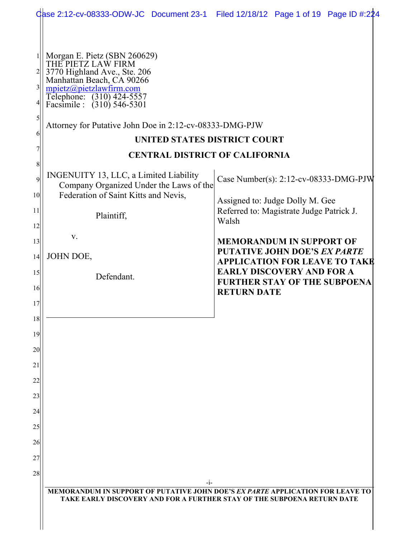|                                                        | Qase 2:12-cv-08333-ODW-JC Document 23-1 Filed 12/18/12 Page 1 of 19 Page ID #:224                                                                                                                                                                                                                |                                                                                               |
|--------------------------------------------------------|--------------------------------------------------------------------------------------------------------------------------------------------------------------------------------------------------------------------------------------------------------------------------------------------------|-----------------------------------------------------------------------------------------------|
| $\frac{1}{2}$<br>$\overline{3}$<br>$\mathfrak{h}$<br>6 | Morgan E. Pietz (SBN 260629)<br>THE PIETZ LAW FIRM<br>3770 Highland Ave., Ste. 206<br>Manhattan Beach, CA 90266<br>mpietz@pietzlawfirm.com<br>Telephone: (310) 424-5557<br>Facsimile : (310) 546-5301<br>Attorney for Putative John Doe in 2:12-cv-08333-DMG-PJW<br>UNITED STATES DISTRICT COURT |                                                                                               |
| 8                                                      | <b>CENTRAL DISTRICT OF CALIFORNIA</b>                                                                                                                                                                                                                                                            |                                                                                               |
| 9<br>10 <sup>1</sup>                                   | INGENUITY 13, LLC, a Limited Liability<br>Company Organized Under the Laws of the<br>Federation of Saint Kitts and Nevis,                                                                                                                                                                        | Case Number(s): 2:12-cv-08333-DMG-PJW<br>Assigned to: Judge Dolly M. Gee                      |
| 11<br>12                                               | Plaintiff,                                                                                                                                                                                                                                                                                       | Referred to: Magistrate Judge Patrick J.<br>Walsh                                             |
| 13                                                     | V.                                                                                                                                                                                                                                                                                               | <b>MEMORANDUM IN SUPPORT OF</b>                                                               |
| 14                                                     | JOHN DOE,                                                                                                                                                                                                                                                                                        | <b>PUTATIVE JOHN DOE'S EX PARTE</b><br><b>APPLICATION FOR LEAVE TO TAKE</b>                   |
| 15<br>16                                               | Defendant.                                                                                                                                                                                                                                                                                       | <b>EARLY DISCOVERY AND FOR A</b><br><b>FURTHER STAY OF THE SUBPOENA</b><br><b>RETURN DATE</b> |
| 17                                                     |                                                                                                                                                                                                                                                                                                  |                                                                                               |
| 18                                                     |                                                                                                                                                                                                                                                                                                  |                                                                                               |
| 19                                                     |                                                                                                                                                                                                                                                                                                  |                                                                                               |
| 20                                                     |                                                                                                                                                                                                                                                                                                  |                                                                                               |
| 21                                                     |                                                                                                                                                                                                                                                                                                  |                                                                                               |
| 22                                                     |                                                                                                                                                                                                                                                                                                  |                                                                                               |
| 23                                                     |                                                                                                                                                                                                                                                                                                  |                                                                                               |
| 24                                                     |                                                                                                                                                                                                                                                                                                  |                                                                                               |
| 25                                                     |                                                                                                                                                                                                                                                                                                  |                                                                                               |
| 26                                                     |                                                                                                                                                                                                                                                                                                  |                                                                                               |
| 27                                                     |                                                                                                                                                                                                                                                                                                  |                                                                                               |
| 28                                                     | -1-                                                                                                                                                                                                                                                                                              |                                                                                               |
|                                                        | MEMORANDUM IN SUPPORT OF PUTATIVE JOHN DOE'S EX PARTE APPLICATION FOR LEAVE TO<br>TAKE EARLY DISCOVERY AND FOR A FURTHER STAY OF THE SUBPOENA RETURN DATE                                                                                                                                        |                                                                                               |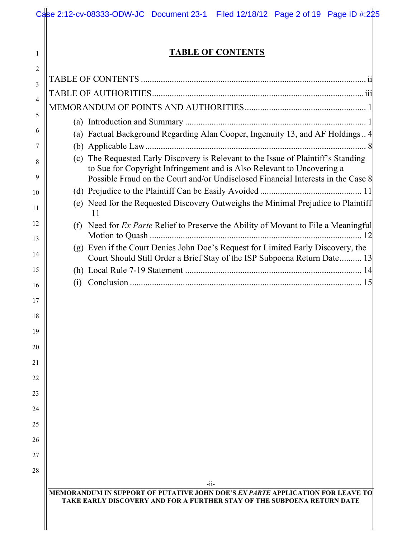|     | <b>TABLE OF CONTENTS</b>                                                                                                                                                                                                                         |
|-----|--------------------------------------------------------------------------------------------------------------------------------------------------------------------------------------------------------------------------------------------------|
|     |                                                                                                                                                                                                                                                  |
|     |                                                                                                                                                                                                                                                  |
|     |                                                                                                                                                                                                                                                  |
|     |                                                                                                                                                                                                                                                  |
|     | (a) Factual Background Regarding Alan Cooper, Ingenuity 13, and AF Holdings 4                                                                                                                                                                    |
|     |                                                                                                                                                                                                                                                  |
|     | (c) The Requested Early Discovery is Relevant to the Issue of Plaintiff's Standing<br>to Sue for Copyright Infringement and is Also Relevant to Uncovering a<br>Possible Fraud on the Court and/or Undisclosed Financial Interests in the Case 8 |
|     |                                                                                                                                                                                                                                                  |
|     | (e) Need for the Requested Discovery Outweighs the Minimal Prejudice to Plaintiff<br>11                                                                                                                                                          |
| (f) | Need for <i>Ex Parte</i> Relief to Preserve the Ability of Movant to File a Meaningful                                                                                                                                                           |
| (g) | Even if the Court Denies John Doe's Request for Limited Early Discovery, the<br>Court Should Still Order a Brief Stay of the ISP Subpoena Return Date 13                                                                                         |
|     |                                                                                                                                                                                                                                                  |
| (i) |                                                                                                                                                                                                                                                  |
|     |                                                                                                                                                                                                                                                  |
|     |                                                                                                                                                                                                                                                  |
|     |                                                                                                                                                                                                                                                  |
|     |                                                                                                                                                                                                                                                  |
|     |                                                                                                                                                                                                                                                  |
|     |                                                                                                                                                                                                                                                  |
|     |                                                                                                                                                                                                                                                  |
|     |                                                                                                                                                                                                                                                  |
|     |                                                                                                                                                                                                                                                  |
|     |                                                                                                                                                                                                                                                  |
|     |                                                                                                                                                                                                                                                  |
|     |                                                                                                                                                                                                                                                  |
|     |                                                                                                                                                                                                                                                  |
|     | $-ii-$                                                                                                                                                                                                                                           |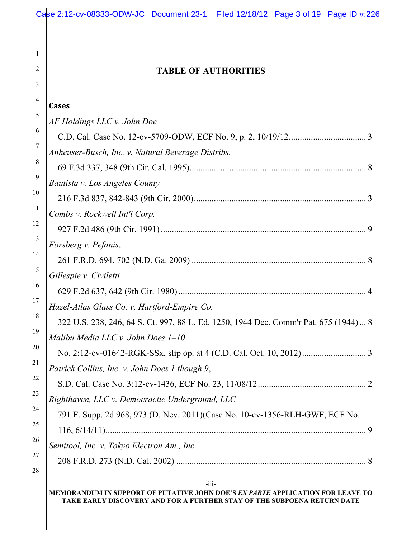|                                                                                      | <b>TABLE OF AUTHORITIES</b> |  |
|--------------------------------------------------------------------------------------|-----------------------------|--|
|                                                                                      |                             |  |
| <b>Cases</b>                                                                         |                             |  |
| AF Holdings LLC v. John Doe                                                          |                             |  |
|                                                                                      |                             |  |
| Anheuser-Busch, Inc. v. Natural Beverage Distribs.                                   |                             |  |
|                                                                                      |                             |  |
| Bautista v. Los Angeles County                                                       |                             |  |
|                                                                                      |                             |  |
| Combs v. Rockwell Int'l Corp.                                                        |                             |  |
|                                                                                      |                             |  |
| Forsberg v. Pefanis,                                                                 |                             |  |
|                                                                                      |                             |  |
| Gillespie v. Civiletti                                                               |                             |  |
|                                                                                      |                             |  |
| Hazel-Atlas Glass Co. v. Hartford-Empire Co.                                         |                             |  |
| 322 U.S. 238, 246, 64 S. Ct. 997, 88 L. Ed. 1250, 1944 Dec. Comm'r Pat. 675 (1944) 8 |                             |  |
| Malibu Media LLC v. John Does 1-10                                                   |                             |  |
|                                                                                      |                             |  |
| Patrick Collins, Inc. v. John Does 1 though 9,                                       |                             |  |
|                                                                                      |                             |  |
| Righthaven, LLC v. Democractic Underground, LLC                                      |                             |  |
| 791 F. Supp. 2d 968, 973 (D. Nev. 2011)(Case No. 10-cv-1356-RLH-GWF, ECF No.         |                             |  |
|                                                                                      |                             |  |
| Semitool, Inc. v. Tokyo Electron Am., Inc.                                           |                             |  |
|                                                                                      |                             |  |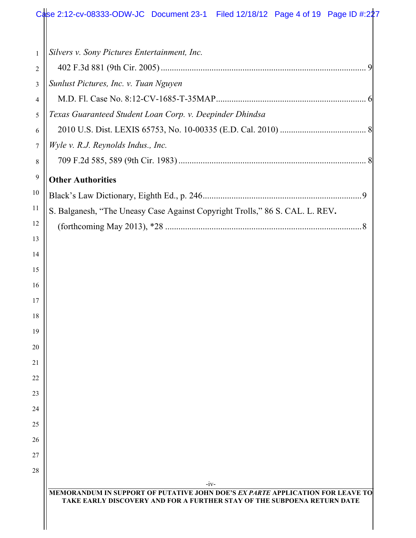| $\mathbf{1}$   | Silvers v. Sony Pictures Entertainment, Inc.                                                                                                                        |
|----------------|---------------------------------------------------------------------------------------------------------------------------------------------------------------------|
| $\overline{2}$ |                                                                                                                                                                     |
| 3              | Sunlust Pictures, Inc. v. Tuan Nguyen                                                                                                                               |
| 4              |                                                                                                                                                                     |
| 5              | Texas Guaranteed Student Loan Corp. v. Deepinder Dhindsa                                                                                                            |
| 6              |                                                                                                                                                                     |
| $\tau$         | Wyle v. R.J. Reynolds Indus., Inc.                                                                                                                                  |
| $\,8\,$        |                                                                                                                                                                     |
| 9              | <b>Other Authorities</b>                                                                                                                                            |
| 10             |                                                                                                                                                                     |
| 11             | S. Balganesh, "The Uneasy Case Against Copyright Trolls," 86 S. CAL. L. REV.                                                                                        |
| 12             |                                                                                                                                                                     |
| 13             |                                                                                                                                                                     |
| 14             |                                                                                                                                                                     |
| 15             |                                                                                                                                                                     |
| 16             |                                                                                                                                                                     |
| 17             |                                                                                                                                                                     |
| 18             |                                                                                                                                                                     |
| 19             |                                                                                                                                                                     |
| 20             |                                                                                                                                                                     |
| 21             |                                                                                                                                                                     |
| 22             |                                                                                                                                                                     |
| 23             |                                                                                                                                                                     |
| 24             |                                                                                                                                                                     |
| 25             |                                                                                                                                                                     |
| 26             |                                                                                                                                                                     |
| 27             |                                                                                                                                                                     |
| 28             |                                                                                                                                                                     |
|                | $-iv-$<br>MEMORANDUM IN SUPPORT OF PUTATIVE JOHN DOE'S EX PARTE APPLICATION FOR LEAVE TO<br>TAKE EARLY DISCOVERY AND FOR A FURTHER STAY OF THE SUBPOENA RETURN DATE |

 $\frac{1}{2}$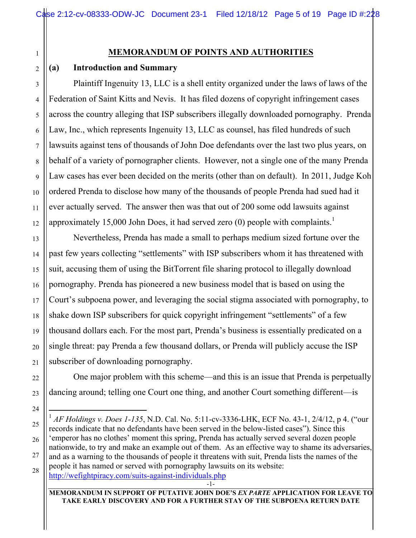# **MEMORANDUM OF POINTS AND AUTHORITIES**

# **(a) Introduction and Summary**

Plaintiff Ingenuity 13, LLC is a shell entity organized under the laws of laws of the Federation of Saint Kitts and Nevis. It has filed dozens of copyright infringement cases across the country alleging that ISP subscribers illegally downloaded pornography. Prenda Law, Inc., which represents Ingenuity 13, LLC as counsel, has filed hundreds of such lawsuits against tens of thousands of John Doe defendants over the last two plus years, on behalf of a variety of pornographer clients. However, not a single one of the many Prenda Law cases has ever been decided on the merits (other than on default). In 2011, Judge Koh ordered Prenda to disclose how many of the thousands of people Prenda had sued had it ever actually served. The answer then was that out of 200 some odd lawsuits against approximately 15,000 John Does, it had served zero  $(0)$  people with complaints.<sup>1</sup>

Nevertheless, Prenda has made a small to perhaps medium sized fortune over the past few years collecting "settlements" with ISP subscribers whom it has threatened with suit, accusing them of using the BitTorrent file sharing protocol to illegally download pornography. Prenda has pioneered a new business model that is based on using the Court's subpoena power, and leveraging the social stigma associated with pornography, to shake down ISP subscribers for quick copyright infringement "settlements" of a few thousand dollars each. For the most part, Prenda's business is essentially predicated on a single threat: pay Prenda a few thousand dollars, or Prenda will publicly accuse the ISP subscriber of downloading pornography.

One major problem with this scheme—and this is an issue that Prenda is perpetually dancing around; telling one Court one thing, and another Court something different—is

-1-

**MEMORANDUM IN SUPPORT OF PUTATIVE JOHN DOE'S** *EX PARTE* **APPLICATION FOR LEAVE TO TAKE EARLY DISCOVERY AND FOR A FURTHER STAY OF THE SUBPOENA RETURN DATE**

 <sup>1</sup> *AF Holdings v. Does 1-135*, N.D. Cal. No. 5:11-cv-3336-LHK, ECF No. 43-1, 2/4/12, p 4. ("our records indicate that no defendants have been served in the below-listed cases"). Since this 'emperor has no clothes' moment this spring, Prenda has actually served several dozen people nationwide, to try and make an example out of them. As an effective way to shame its adversaries, and as a warning to the thousands of people it threatens with suit, Prenda lists the names of the people it has named or served with pornography lawsuits on its website: http://wefightpiracy.com/suits-against-individuals.php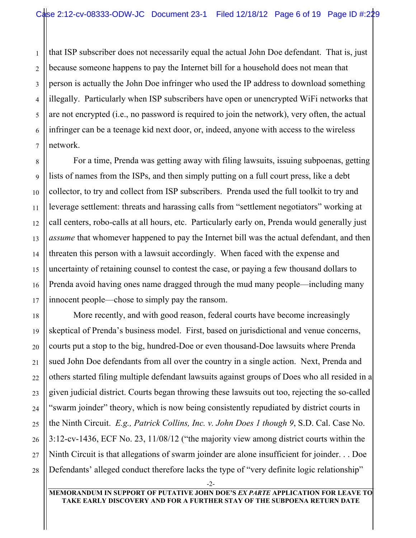that ISP subscriber does not necessarily equal the actual John Doe defendant. That is, just because someone happens to pay the Internet bill for a household does not mean that person is actually the John Doe infringer who used the IP address to download something illegally. Particularly when ISP subscribers have open or unencrypted WiFi networks that are not encrypted (i.e., no password is required to join the network), very often, the actual infringer can be a teenage kid next door, or, indeed, anyone with access to the wireless network.

For a time, Prenda was getting away with filing lawsuits, issuing subpoenas, getting lists of names from the ISPs, and then simply putting on a full court press, like a debt collector, to try and collect from ISP subscribers. Prenda used the full toolkit to try and leverage settlement: threats and harassing calls from "settlement negotiators" working at call centers, robo-calls at all hours, etc. Particularly early on, Prenda would generally just *assume* that whomever happened to pay the Internet bill was the actual defendant, and then threaten this person with a lawsuit accordingly. When faced with the expense and uncertainty of retaining counsel to contest the case, or paying a few thousand dollars to Prenda avoid having ones name dragged through the mud many people—including many innocent people—chose to simply pay the ransom.

More recently, and with good reason, federal courts have become increasingly skeptical of Prenda's business model. First, based on jurisdictional and venue concerns, courts put a stop to the big, hundred-Doe or even thousand-Doe lawsuits where Prenda sued John Doe defendants from all over the country in a single action. Next, Prenda and others started filing multiple defendant lawsuits against groups of Does who all resided in a given judicial district. Courts began throwing these lawsuits out too, rejecting the so-called "swarm joinder" theory, which is now being consistently repudiated by district courts in the Ninth Circuit. *E.g., Patrick Collins, Inc. v. John Does 1 though 9*, S.D. Cal. Case No. 3:12-cv-1436, ECF No. 23, 11/08/12 ("the majority view among district courts within the Ninth Circuit is that allegations of swarm joinder are alone insufficient for joinder. . . Doe Defendants' alleged conduct therefore lacks the type of "very definite logic relationship"

-2-

**MEMORANDUM IN SUPPORT OF PUTATIVE JOHN DOE'S** *EX PARTE* **APPLICATION FOR LEAVE TO TAKE EARLY DISCOVERY AND FOR A FURTHER STAY OF THE SUBPOENA RETURN DATE**

1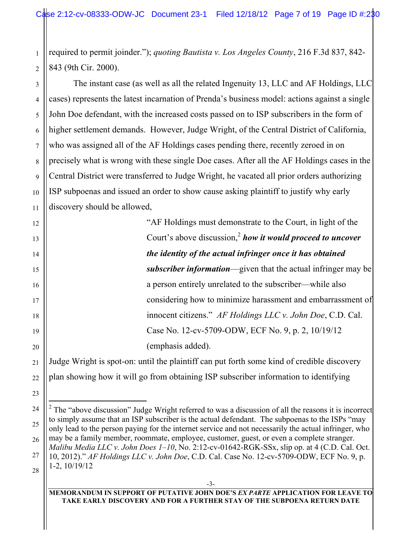1 2 required to permit joinder."); *quoting Bautista v. Los Angeles County*, 216 F.3d 837, 842- 843 (9th Cir. 2000).

3 4 5 6 7 8 9 10 11 The instant case (as well as all the related Ingenuity 13, LLC and AF Holdings, LLC cases) represents the latest incarnation of Prenda's business model: actions against a single John Doe defendant, with the increased costs passed on to ISP subscribers in the form of higher settlement demands. However, Judge Wright, of the Central District of California, who was assigned all of the AF Holdings cases pending there, recently zeroed in on precisely what is wrong with these single Doe cases. After all the AF Holdings cases in the Central District were transferred to Judge Wright, he vacated all prior orders authorizing ISP subpoenas and issued an order to show cause asking plaintiff to justify why early discovery should be allowed,

12

13

14

15

16

17

18

19

20

21

22

23

24

25

26

27

28

"AF Holdings must demonstrate to the Court, in light of the Court's above discussion,<sup>2</sup> how it would proceed to uncover *the identity of the actual infringer once it has obtained subscriber information*—given that the actual infringer may be a person entirely unrelated to the subscriber—while also considering how to minimize harassment and embarrassment of innocent citizens." *AF Holdings LLC v. John Doe*, C.D. Cal. Case No. 12-cv-5709-ODW, ECF No. 9, p. 2, 10/19/12 (emphasis added).

Judge Wright is spot-on: until the plaintiff can put forth some kind of credible discovery plan showing how it will go from obtaining ISP subscriber information to identifying

#### **MEMORANDUM IN SUPPORT OF PUTATIVE JOHN DOE'S** *EX PARTE* **APPLICATION FOR LEAVE TO TAKE EARLY DISCOVERY AND FOR A FURTHER STAY OF THE SUBPOENA RETURN DATE**

 $\frac{1}{2}$  $2$  The "above discussion" Judge Wright referred to was a discussion of all the reasons it is incorrect to simply assume that an ISP subscriber is the actual defendant. The subpoenas to the ISPs "may only lead to the person paying for the internet service and not necessarily the actual infringer, who may be a family member, roommate, employee, customer, guest, or even a complete stranger. *Malibu Media LLC v. John Does 1–10*, No. 2:12-cv-01642-RGK-SSx, slip op. at 4 (C.D. Cal. Oct.

<sup>10, 2012).&</sup>quot; *AF Holdings LLC v. John Doe*, C.D. Cal. Case No. 12-cv-5709-ODW, ECF No. 9, p. 1-2, 10/19/12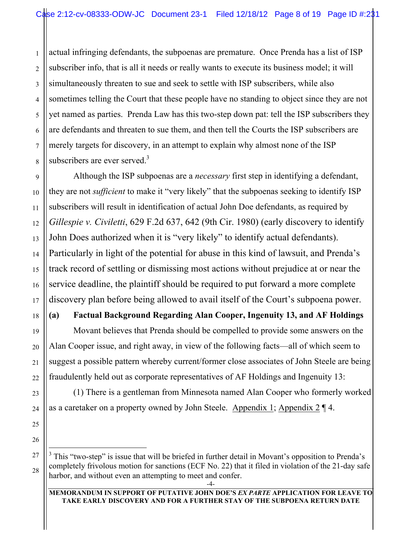1 actual infringing defendants, the subpoenas are premature. Once Prenda has a list of ISP subscriber info, that is all it needs or really wants to execute its business model; it will simultaneously threaten to sue and seek to settle with ISP subscribers, while also sometimes telling the Court that these people have no standing to object since they are not yet named as parties. Prenda Law has this two-step down pat: tell the ISP subscribers they are defendants and threaten to sue them, and then tell the Courts the ISP subscribers are merely targets for discovery, in an attempt to explain why almost none of the ISP subscribers are ever served. $3$ 

Although the ISP subpoenas are a *necessary* first step in identifying a defendant, they are not *sufficient* to make it "very likely" that the subpoenas seeking to identify ISP subscribers will result in identification of actual John Doe defendants, as required by *Gillespie v. Civiletti*, 629 F.2d 637, 642 (9th Cir. 1980) (early discovery to identify John Does authorized when it is "very likely" to identify actual defendants). Particularly in light of the potential for abuse in this kind of lawsuit, and Prenda's track record of settling or dismissing most actions without prejudice at or near the service deadline, the plaintiff should be required to put forward a more complete discovery plan before being allowed to avail itself of the Court's subpoena power.

# **(a) Factual Background Regarding Alan Cooper, Ingenuity 13, and AF Holdings**

Movant believes that Prenda should be compelled to provide some answers on the Alan Cooper issue, and right away, in view of the following facts—all of which seem to suggest a possible pattern whereby current/former close associates of John Steele are being fraudulently held out as corporate representatives of AF Holdings and Ingenuity 13:

(1) There is a gentleman from Minnesota named Alan Cooper who formerly worked as a caretaker on a property owned by John Steele. Appendix 1; Appendix 2 ¶ 4.

 $\frac{1}{3}$  $3$  This "two-step" is issue that will be briefed in further detail in Movant's opposition to Prenda's completely frivolous motion for sanctions (ECF No. 22) that it filed in violation of the 21-day safe harbor, and without even an attempting to meet and confer.

**MEMORANDUM IN SUPPORT OF PUTATIVE JOHN DOE'S** *EX PARTE* **APPLICATION FOR LEAVE TO TAKE EARLY DISCOVERY AND FOR A FURTHER STAY OF THE SUBPOENA RETURN DATE**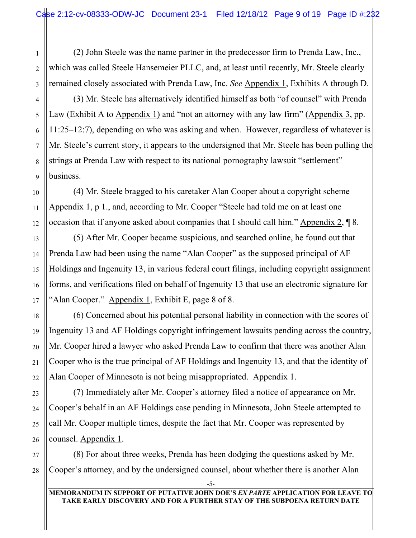(2) John Steele was the name partner in the predecessor firm to Prenda Law, Inc., which was called Steele Hansemeier PLLC, and, at least until recently, Mr. Steele clearly remained closely associated with Prenda Law, Inc. *See* Appendix 1, Exhibits A through D.

(3) Mr. Steele has alternatively identified himself as both "of counsel" with Prenda Law (Exhibit A to Appendix 1) and "not an attorney with any law firm" (Appendix 3, pp. 11:25–12:7), depending on who was asking and when. However, regardless of whatever is Mr. Steele's current story, it appears to the undersigned that Mr. Steele has been pulling the strings at Prenda Law with respect to its national pornography lawsuit "settlement" business.

(4) Mr. Steele bragged to his caretaker Alan Cooper about a copyright scheme Appendix 1, p 1., and, according to Mr. Cooper "Steele had told me on at least one occasion that if anyone asked about companies that I should call him." Appendix 2, ¶ 8.

(5) After Mr. Cooper became suspicious, and searched online, he found out that Prenda Law had been using the name "Alan Cooper" as the supposed principal of AF Holdings and Ingenuity 13, in various federal court filings, including copyright assignment forms, and verifications filed on behalf of Ingenuity 13 that use an electronic signature for "Alan Cooper." Appendix 1, Exhibit E, page 8 of 8.

(6) Concerned about his potential personal liability in connection with the scores of Ingenuity 13 and AF Holdings copyright infringement lawsuits pending across the country, Mr. Cooper hired a lawyer who asked Prenda Law to confirm that there was another Alan Cooper who is the true principal of AF Holdings and Ingenuity 13, and that the identity of Alan Cooper of Minnesota is not being misappropriated. Appendix 1.

(7) Immediately after Mr. Cooper's attorney filed a notice of appearance on Mr. Cooper's behalf in an AF Holdings case pending in Minnesota, John Steele attempted to call Mr. Cooper multiple times, despite the fact that Mr. Cooper was represented by counsel. Appendix 1.

(8) For about three weeks, Prenda has been dodging the questions asked by Mr. Cooper's attorney, and by the undersigned counsel, about whether there is another Alan

1

2

3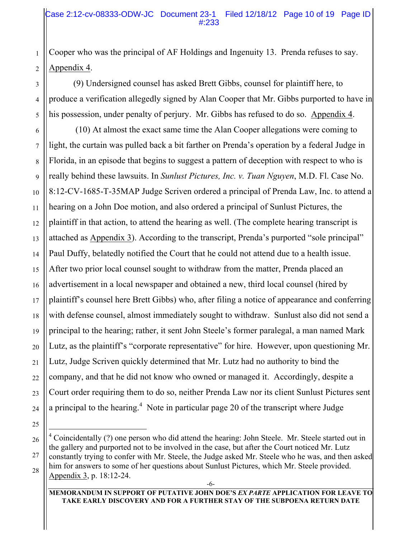Cooper who was the principal of AF Holdings and Ingenuity 13. Prenda refuses to say. Appendix 4.

(9) Undersigned counsel has asked Brett Gibbs, counsel for plaintiff here, to produce a verification allegedly signed by Alan Cooper that Mr. Gibbs purported to have in his possession, under penalty of perjury. Mr. Gibbs has refused to do so. Appendix 4.

 (10) At almost the exact same time the Alan Cooper allegations were coming to light, the curtain was pulled back a bit farther on Prenda's operation by a federal Judge in Florida, in an episode that begins to suggest a pattern of deception with respect to who is really behind these lawsuits. In *Sunlust Pictures, Inc. v. Tuan Nguyen*, M.D. Fl. Case No. 8:12-CV-1685-T-35MAP Judge Scriven ordered a principal of Prenda Law, Inc. to attend a hearing on a John Doe motion, and also ordered a principal of Sunlust Pictures, the plaintiff in that action, to attend the hearing as well. (The complete hearing transcript is attached as Appendix 3). According to the transcript, Prenda's purported "sole principal" Paul Duffy, belatedly notified the Court that he could not attend due to a health issue. After two prior local counsel sought to withdraw from the matter, Prenda placed an advertisement in a local newspaper and obtained a new, third local counsel (hired by plaintiff's counsel here Brett Gibbs) who, after filing a notice of appearance and conferring with defense counsel, almost immediately sought to withdraw. Sunlust also did not send a principal to the hearing; rather, it sent John Steele's former paralegal, a man named Mark Lutz, as the plaintiff's "corporate representative" for hire. However, upon questioning Mr. Lutz, Judge Scriven quickly determined that Mr. Lutz had no authority to bind the company, and that he did not know who owned or managed it. Accordingly, despite a Court order requiring them to do so, neither Prenda Law nor its client Sunlust Pictures sent a principal to the hearing.<sup>4</sup> Note in particular page 20 of the transcript where Judge

 $\frac{1}{4}$ <sup>4</sup> Coincidentally (?) one person who did attend the hearing: John Steele. Mr. Steele started out in the gallery and purported not to be involved in the case, but after the Court noticed Mr. Lutz constantly trying to confer with Mr. Steele, the Judge asked Mr. Steele who he was, and then asked him for answers to some of her questions about Sunlust Pictures, which Mr. Steele provided. Appendix 3, p. 18:12-24.

**MEMORANDUM IN SUPPORT OF PUTATIVE JOHN DOE'S** *EX PARTE* **APPLICATION FOR LEAVE TO TAKE EARLY DISCOVERY AND FOR A FURTHER STAY OF THE SUBPOENA RETURN DATE**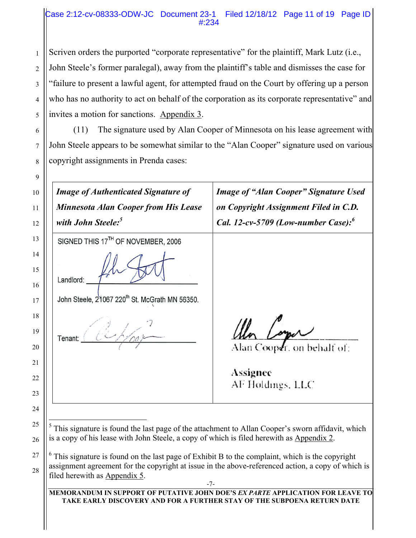# Case 2:12-cv-08333-ODW-JC Document 23-1 Filed 12/18/12 Page 11 of 19 Page ID #:234

Scriven orders the purported "corporate representative" for the plaintiff, Mark Lutz (i.e.,

John Steele's former paralegal), away from the plaintiff's table and dismisses the case for "failure to present a lawful agent, for attempted fraud on the Court by offering up a person who has no authority to act on behalf of the corporation as its corporate representative" and invites a motion for sanctions. Appendix 3.

(11) The signature used by Alan Cooper of Minnesota on his lease agreement with John Steele appears to be somewhat similar to the "Alan Cooper" signature used on various copyright assignments in Prenda cases:

| <b>Image of Authenticated Signature of</b><br><b>Minnesota Alan Cooper from His Lease</b>                                                                                                     | <b>Image of "Alan Cooper" Signature Used</b><br>on Copyright Assignment Filed in C.D. |
|-----------------------------------------------------------------------------------------------------------------------------------------------------------------------------------------------|---------------------------------------------------------------------------------------|
| with John Steele: <sup>5</sup>                                                                                                                                                                | Cal. 12-cv-5709 (Low-number Case): $6$                                                |
| SIGNED THIS 17TH OF NOVEMBER, 2006                                                                                                                                                            |                                                                                       |
| Landlord:                                                                                                                                                                                     |                                                                                       |
| John Steele, 21067 220 <sup>th</sup> St. McGrath MN 56350.                                                                                                                                    |                                                                                       |
|                                                                                                                                                                                               |                                                                                       |
| Tenant:                                                                                                                                                                                       |                                                                                       |
|                                                                                                                                                                                               | Alan Cooper. on behalf of:                                                            |
|                                                                                                                                                                                               | Assignee                                                                              |
|                                                                                                                                                                                               | AF Holdings, LLC                                                                      |
|                                                                                                                                                                                               |                                                                                       |
|                                                                                                                                                                                               |                                                                                       |
| This signature is found the last page of the attachment to Allan Cooper's sworn affidavit, which<br>is a copy of his lease with John Steele, a copy of which is filed herewith as Appendix 2. |                                                                                       |
| $6$ This signature is found on the last page of Exhibit B to the complaint, which is the copyright                                                                                            |                                                                                       |
| assignment agreement for the copyright at issue in the above-referenced action, a copy of which is                                                                                            |                                                                                       |
| filed herewith as Appendix 5.                                                                                                                                                                 |                                                                                       |

1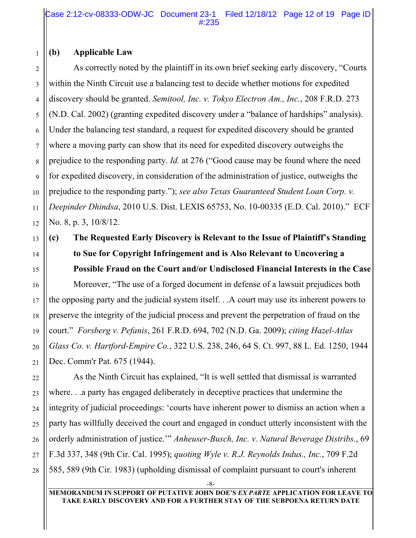Case 2:12-cv-08333-ODW-JC Document 23-1 Filed 12/18/12 Page 12 of 19 Page ID #:235

### **(b) Applicable Law**

As correctly noted by the plaintiff in its own brief seeking early discovery, "Courts within the Ninth Circuit use a balancing test to decide whether motions for expedited discovery should be granted. *Semitool, Inc. v. Tokyo Electron Am., Inc.*, 208 F.R.D. 273 (N.D. Cal. 2002) (granting expedited discovery under a "balance of hardships" analysis). Under the balancing test standard, a request for expedited discovery should be granted where a moving party can show that its need for expedited discovery outweighs the prejudice to the responding party. *Id.* at 276 ("Good cause may be found where the need for expedited discovery, in consideration of the administration of justice, outweighs the prejudice to the responding party."); *see also Texas Guaranteed Student Loan Corp. v. Deepinder Dhindsa*, 2010 U.S. Dist. LEXIS 65753, No. 10-00335 (E.D. Cal. 2010)." ECF No. 8, p. 3, 10/8/12.

**(c) The Requested Early Discovery is Relevant to the Issue of Plaintiff's Standing to Sue for Copyright Infringement and is Also Relevant to Uncovering a Possible Fraud on the Court and/or Undisclosed Financial Interests in the Case**

Moreover, "The use of a forged document in defense of a lawsuit prejudices both the opposing party and the judicial system itself. . .A court may use its inherent powers to preserve the integrity of the judicial process and prevent the perpetration of fraud on the court." *Forsberg v. Pefanis*, 261 F.R.D. 694, 702 (N.D. Ga. 2009); *citing Hazel-Atlas Glass Co. v. Hartford-Empire Co.*, 322 U.S. 238, 246, 64 S. Ct. 997, 88 L. Ed. 1250, 1944 Dec. Comm'r Pat. 675 (1944).

As the Ninth Circuit has explained, "It is well settled that dismissal is warranted where. . .a party has engaged deliberately in deceptive practices that undermine the integrity of judicial proceedings: 'courts have inherent power to dismiss an action when a party has willfully deceived the court and engaged in conduct utterly inconsistent with the orderly administration of justice.'" *Anheuser-Busch, Inc. v. Natural Beverage Distribs.*, 69 F.3d 337, 348 (9th Cir. Cal. 1995); *quoting Wyle v. R.J. Reynolds Indus., Inc.*, 709 F.2d 585, 589 (9th Cir. 1983) (upholding dismissal of complaint pursuant to court's inherent

-8-

**MEMORANDUM IN SUPPORT OF PUTATIVE JOHN DOE'S** *EX PARTE* **APPLICATION FOR LEAVE TO TAKE EARLY DISCOVERY AND FOR A FURTHER STAY OF THE SUBPOENA RETURN DATE**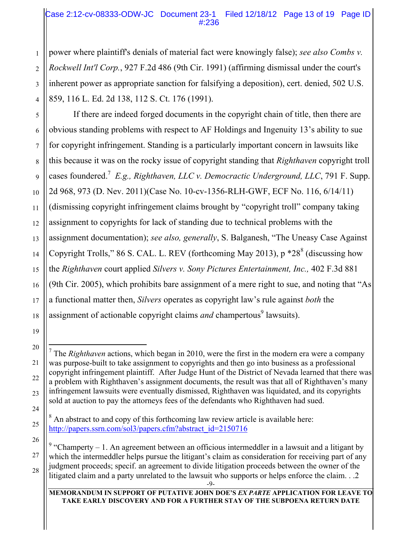# Case 2:12-cv-08333-ODW-JC Document 23-1 Filed 12/18/12 Page 13 of 19 Page ID #:236

power where plaintiff's denials of material fact were knowingly false); *see also Combs v. Rockwell Int'l Corp.*, 927 F.2d 486 (9th Cir. 1991) (affirming dismissal under the court's inherent power as appropriate sanction for falsifying a deposition), cert. denied, 502 U.S. 859, 116 L. Ed. 2d 138, 112 S. Ct. 176 (1991).

If there are indeed forged documents in the copyright chain of title, then there are obvious standing problems with respect to AF Holdings and Ingenuity 13's ability to sue for copyright infringement. Standing is a particularly important concern in lawsuits like this because it was on the rocky issue of copyright standing that *Righthaven* copyright troll cases foundered.<sup>7</sup> *E.g., Righthaven, LLC v. Democractic Underground, LLC*, 791 F. Supp. 2d 968, 973 (D. Nev. 2011)(Case No. 10-cv-1356-RLH-GWF, ECF No. 116, 6/14/11) (dismissing copyright infringement claims brought by "copyright troll" company taking assignment to copyrights for lack of standing due to technical problems with the assignment documentation); *see also, generally*, S. Balganesh, "The Uneasy Case Against Copyright Trolls," 86 S. CAL. L. REV (forthcoming May 2013),  $p * 28<sup>8</sup>$  (discussing how the *Righthaven* court applied *Silvers v. Sony Pictures Entertainment, Inc.,* 402 F.3d 881 (9th Cir. 2005), which prohibits bare assignment of a mere right to sue, and noting that "As a functional matter then, *Silvers* operates as copyright law's rule against *both* the assignment of actionable copyright claims *and* champertous<sup>9</sup> lawsuits).

**MEMORANDUM IN SUPPORT OF PUTATIVE JOHN DOE'S** *EX PARTE* **APPLICATION FOR LEAVE TO TAKE EARLY DISCOVERY AND FOR A FURTHER STAY OF THE SUBPOENA RETURN DATE**

 <sup>7</sup>  $<sup>7</sup>$  The *Righthaven* actions, which began in 2010, were the first in the modern era were a company</sup> was purpose-built to take assignment to copyrights and then go into business as a professional copyright infringement plaintiff. After Judge Hunt of the District of Nevada learned that there was a problem with Righthaven's assignment documents, the result was that all of Righthaven's many infringement lawsuits were eventually dismissed, Righthaven was liquidated, and its copyrights sold at auction to pay the attorneys fees of the defendants who Righthaven had sued.

 $8$  An abstract to and copy of this forthcoming law review article is available here: http://papers.ssrn.com/sol3/papers.cfm?abstract\_id=2150716

<sup>&</sup>lt;sup>9</sup> "Champerty – 1. An agreement between an officious intermeddler in a lawsuit and a litigant by which the intermeddler helps pursue the litigant's claim as consideration for receiving part of any judgment proceeds; specif. an agreement to divide litigation proceeds between the owner of the litigated claim and a party unrelated to the lawsuit who supports or helps enforce the claim. . .2

 $-9-$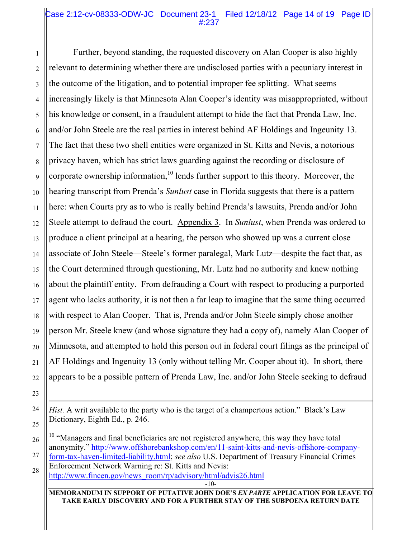## Case 2:12-cv-08333-ODW-JC Document 23-1 Filed 12/18/12 Page 14 of 19 Page ID #:237

Further, beyond standing, the requested discovery on Alan Cooper is also highly relevant to determining whether there are undisclosed parties with a pecuniary interest in the outcome of the litigation, and to potential improper fee splitting. What seems increasingly likely is that Minnesota Alan Cooper's identity was misappropriated, without his knowledge or consent, in a fraudulent attempt to hide the fact that Prenda Law, Inc. and/or John Steele are the real parties in interest behind AF Holdings and Ingeunity 13. The fact that these two shell entities were organized in St. Kitts and Nevis, a notorious privacy haven, which has strict laws guarding against the recording or disclosure of corporate ownership information, $10$  lends further support to this theory. Moreover, the hearing transcript from Prenda's *Sunlust* case in Florida suggests that there is a pattern here: when Courts pry as to who is really behind Prenda's lawsuits, Prenda and/or John Steele attempt to defraud the court. Appendix 3. In *Sunlust*, when Prenda was ordered to produce a client principal at a hearing, the person who showed up was a current close associate of John Steele—Steele's former paralegal, Mark Lutz—despite the fact that, as the Court determined through questioning, Mr. Lutz had no authority and knew nothing about the plaintiff entity. From defrauding a Court with respect to producing a purported agent who lacks authority, it is not then a far leap to imagine that the same thing occurred with respect to Alan Cooper. That is, Prenda and/or John Steele simply chose another person Mr. Steele knew (and whose signature they had a copy of), namely Alan Cooper of Minnesota, and attempted to hold this person out in federal court filings as the principal of AF Holdings and Ingenuity 13 (only without telling Mr. Cooper about it). In short, there appears to be a possible pattern of Prenda Law, Inc. and/or John Steele seeking to defraud

**MEMORANDUM IN SUPPORT OF PUTATIVE JOHN DOE'S** *EX PARTE* **APPLICATION FOR LEAVE TO TAKE EARLY DISCOVERY AND FOR A FURTHER STAY OF THE SUBPOENA RETURN DATE**

 $\overline{a}$ 

*Hist.* A writ available to the party who is the target of a champertous action." Black's Law Dictionary, Eighth Ed., p. 246.

 $10$  "Managers and final beneficiaries are not registered anywhere, this way they have total anonymity." http://www.offshorebankshop.com/en/11-saint-kitts-and-nevis-offshore-company-

form-tax-haven-limited-liability.html; *see also* U.S. Department of Treasury Financial Crimes Enforcement Network Warning re: St. Kitts and Nevis:

http://www.fincen.gov/news\_room/rp/advisory/html/advis26.html

<sup>-10-</sup>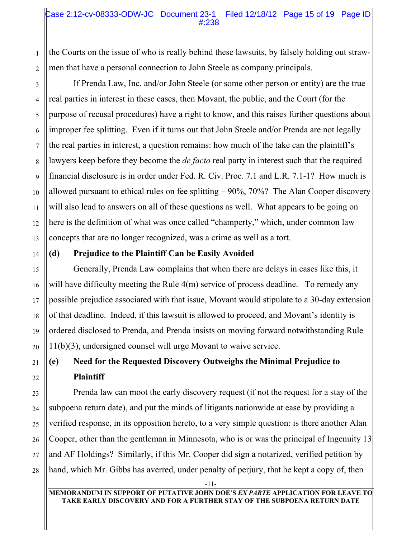# Case 2:12-cv-08333-ODW-JC Document 23-1 Filed 12/18/12 Page 15 of 19 Page ID #:238

the Courts on the issue of who is really behind these lawsuits, by falsely holding out strawmen that have a personal connection to John Steele as company principals.

If Prenda Law, Inc. and/or John Steele (or some other person or entity) are the true real parties in interest in these cases, then Movant, the public, and the Court (for the purpose of recusal procedures) have a right to know, and this raises further questions about improper fee splitting. Even if it turns out that John Steele and/or Prenda are not legally the real parties in interest, a question remains: how much of the take can the plaintiff's lawyers keep before they become the *de facto* real party in interest such that the required financial disclosure is in order under Fed. R. Civ. Proc. 7.1 and L.R. 7.1-1? How much is allowed pursuant to ethical rules on fee splitting  $-90\%$ ,  $70\%$ ? The Alan Cooper discovery will also lead to answers on all of these questions as well. What appears to be going on here is the definition of what was once called "champerty," which, under common law concepts that are no longer recognized, was a crime as well as a tort.

# **(d) Prejudice to the Plaintiff Can be Easily Avoided**

Generally, Prenda Law complains that when there are delays in cases like this, it will have difficulty meeting the Rule 4(m) service of process deadline. To remedy any possible prejudice associated with that issue, Movant would stipulate to a 30-day extension of that deadline. Indeed, if this lawsuit is allowed to proceed, and Movant's identity is ordered disclosed to Prenda, and Prenda insists on moving forward notwithstanding Rule 11(b)(3), undersigned counsel will urge Movant to waive service.

# **(e) Need for the Requested Discovery Outweighs the Minimal Prejudice to Plaintiff**

Prenda law can moot the early discovery request (if not the request for a stay of the subpoena return date), and put the minds of litigants nationwide at ease by providing a verified response, in its opposition hereto, to a very simple question: is there another Alan Cooper, other than the gentleman in Minnesota, who is or was the principal of Ingenuity 13 and AF Holdings? Similarly, if this Mr. Cooper did sign a notarized, verified petition by hand, which Mr. Gibbs has averred, under penalty of perjury, that he kept a copy of, then

-11-

**MEMORANDUM IN SUPPORT OF PUTATIVE JOHN DOE'S** *EX PARTE* **APPLICATION FOR LEAVE TO TAKE EARLY DISCOVERY AND FOR A FURTHER STAY OF THE SUBPOENA RETURN DATE**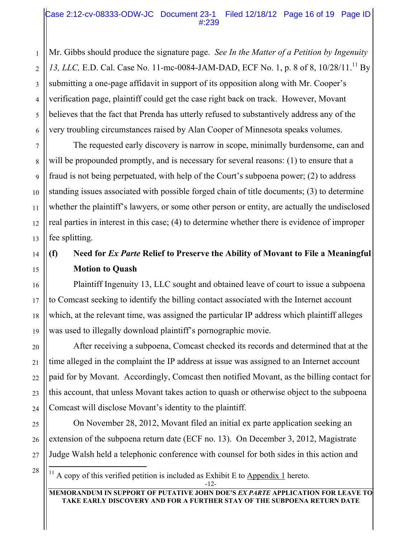Mr. Gibbs should produce the signature page. *See In the Matter of a Petition by Ingenuity*  13, *LLC*, E.D. Cal. Case No. 11-mc-0084-JAM-DAD, ECF No. 1, p. 8 of 8, 10/28/11.<sup>11</sup> By submitting a one-page affidavit in support of its opposition along with Mr. Cooper's verification page, plaintiff could get the case right back on track. However, Movant believes that the fact that Prenda has utterly refused to substantively address any of the very troubling circumstances raised by Alan Cooper of Minnesota speaks volumes.

The requested early discovery is narrow in scope, minimally burdensome, can and will be propounded promptly, and is necessary for several reasons: (1) to ensure that a fraud is not being perpetuated, with help of the Court's subpoena power; (2) to address standing issues associated with possible forged chain of title documents; (3) to determine whether the plaintiff's lawyers, or some other person or entity, are actually the undisclosed real parties in interest in this case; (4) to determine whether there is evidence of improper fee splitting.

# **(f) Need for** *Ex Parte* **Relief to Preserve the Ability of Movant to File a Meaningful Motion to Quash**

Plaintiff Ingenuity 13, LLC sought and obtained leave of court to issue a subpoena to Comcast seeking to identify the billing contact associated with the Internet account which, at the relevant time, was assigned the particular IP address which plaintiff alleges was used to illegally download plaintiff's pornographic movie.

After receiving a subpoena, Comcast checked its records and determined that at the time alleged in the complaint the IP address at issue was assigned to an Internet account paid for by Movant. Accordingly, Comcast then notified Movant, as the billing contact for this account, that unless Movant takes action to quash or otherwise object to the subpoena Comcast will disclose Movant's identity to the plaintiff.

On November 28, 2012, Movant filed an initial ex parte application seeking an extension of the subpoena return date (ECF no. 13). On December 3, 2012, Magistrate Judge Walsh held a telephonic conference with counsel for both sides in this action and

<sup>11</sup> A copy of this verified petition is included as Exhibit E to Appendix 1 hereto.

**MEMORANDUM IN SUPPORT OF PUTATIVE JOHN DOE'S** *EX PARTE* **APPLICATION FOR LEAVE TO TAKE EARLY DISCOVERY AND FOR A FURTHER STAY OF THE SUBPOENA RETURN DATE**

<sup>-12-</sup>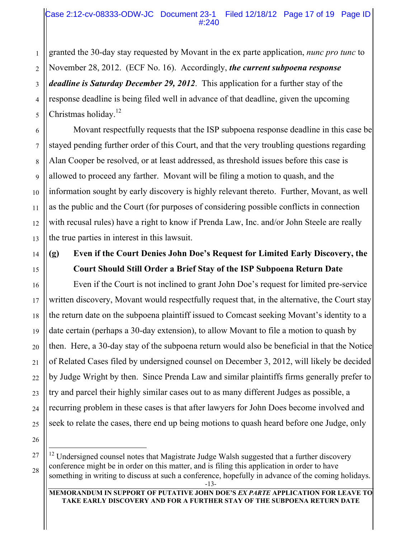granted the 30-day stay requested by Movant in the ex parte application, *nunc pro tunc* to November 28, 2012. (ECF No. 16). Accordingly, *the current subpoena response deadline is Saturday December 29, 2012*. This application for a further stay of the response deadline is being filed well in advance of that deadline, given the upcoming Christmas holiday. $^{12}$ 

Movant respectfully requests that the ISP subpoena response deadline in this case be stayed pending further order of this Court, and that the very troubling questions regarding Alan Cooper be resolved, or at least addressed, as threshold issues before this case is allowed to proceed any farther. Movant will be filing a motion to quash, and the information sought by early discovery is highly relevant thereto. Further, Movant, as well as the public and the Court (for purposes of considering possible conflicts in connection with recusal rules) have a right to know if Prenda Law, Inc. and/or John Steele are really the true parties in interest in this lawsuit.

# **(g) Even if the Court Denies John Doe's Request for Limited Early Discovery, the Court Should Still Order a Brief Stay of the ISP Subpoena Return Date**

Even if the Court is not inclined to grant John Doe's request for limited pre-service written discovery, Movant would respectfully request that, in the alternative, the Court stay the return date on the subpoena plaintiff issued to Comcast seeking Movant's identity to a date certain (perhaps a 30-day extension), to allow Movant to file a motion to quash by then. Here, a 30-day stay of the subpoena return would also be beneficial in that the Notice of Related Cases filed by undersigned counsel on December 3, 2012, will likely be decided by Judge Wright by then. Since Prenda Law and similar plaintiffs firms generally prefer to try and parcel their highly similar cases out to as many different Judges as possible, a recurring problem in these cases is that after lawyers for John Does become involved and seek to relate the cases, there end up being motions to quash heard before one Judge, only

 $12$  Undersigned counsel notes that Magistrate Judge Walsh suggested that a further discovery conference might be in order on this matter, and is filing this application in order to have something in writing to discuss at such a conference, hopefully in advance of the coming holidays.

**MEMORANDUM IN SUPPORT OF PUTATIVE JOHN DOE'S** *EX PARTE* **APPLICATION FOR LEAVE TO TAKE EARLY DISCOVERY AND FOR A FURTHER STAY OF THE SUBPOENA RETURN DATE**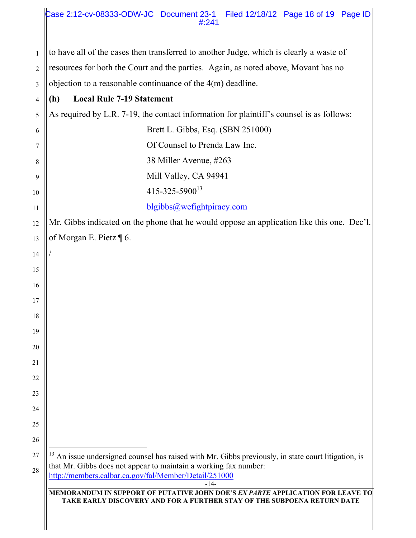|                | Case 2:12-cv-08333-ODW-JC Document 23-1<br>Filed 12/18/12 Page 18 of 19 Page ID<br>#:241                                                                                                                                                |
|----------------|-----------------------------------------------------------------------------------------------------------------------------------------------------------------------------------------------------------------------------------------|
| $\mathbf{1}$   | to have all of the cases then transferred to another Judge, which is clearly a waste of                                                                                                                                                 |
| $\overline{c}$ | resources for both the Court and the parties. Again, as noted above, Movant has no                                                                                                                                                      |
| 3              | objection to a reasonable continuance of the $4(m)$ deadline.                                                                                                                                                                           |
| 4              | <b>Local Rule 7-19 Statement</b><br>(h)                                                                                                                                                                                                 |
| 5              | As required by L.R. 7-19, the contact information for plaintiff's counsel is as follows:                                                                                                                                                |
| 6              | Brett L. Gibbs, Esq. (SBN 251000)                                                                                                                                                                                                       |
| 7              | Of Counsel to Prenda Law Inc.                                                                                                                                                                                                           |
| 8              | 38 Miller Avenue, #263                                                                                                                                                                                                                  |
| 9              | Mill Valley, CA 94941                                                                                                                                                                                                                   |
| 10             | $415 - 325 - 5900^{13}$                                                                                                                                                                                                                 |
| 11             | blgibbs@wefightpiracy.com                                                                                                                                                                                                               |
| 12             | Mr. Gibbs indicated on the phone that he would oppose an application like this one. Dec'l.                                                                                                                                              |
| 13             | of Morgan E. Pietz $\P$ 6.                                                                                                                                                                                                              |
| 14             |                                                                                                                                                                                                                                         |
| 15             |                                                                                                                                                                                                                                         |
| 16             |                                                                                                                                                                                                                                         |
| 17             |                                                                                                                                                                                                                                         |
| 18             |                                                                                                                                                                                                                                         |
| 19             |                                                                                                                                                                                                                                         |
| 20             |                                                                                                                                                                                                                                         |
| 21             |                                                                                                                                                                                                                                         |
| 22             |                                                                                                                                                                                                                                         |
| 23             |                                                                                                                                                                                                                                         |
| 24             |                                                                                                                                                                                                                                         |
| 25             |                                                                                                                                                                                                                                         |
| 26             |                                                                                                                                                                                                                                         |
| 27<br>28       | An issue undersigned counsel has raised with Mr. Gibbs previously, in state court litigation, is<br>that Mr. Gibbs does not appear to maintain a working fax number:<br>http://members.calbar.ca.gov/fal/Member/Detail/251000<br>$-14-$ |
|                | MEMORANDUM IN SUPPORT OF PUTATIVE JOHN DOE'S EX PARTE APPLICATION FOR LEAVE TO<br>TAKE EARLY DISCOVERY AND FOR A FURTHER STAY OF THE SUBPOENA RETURN DATE                                                                               |